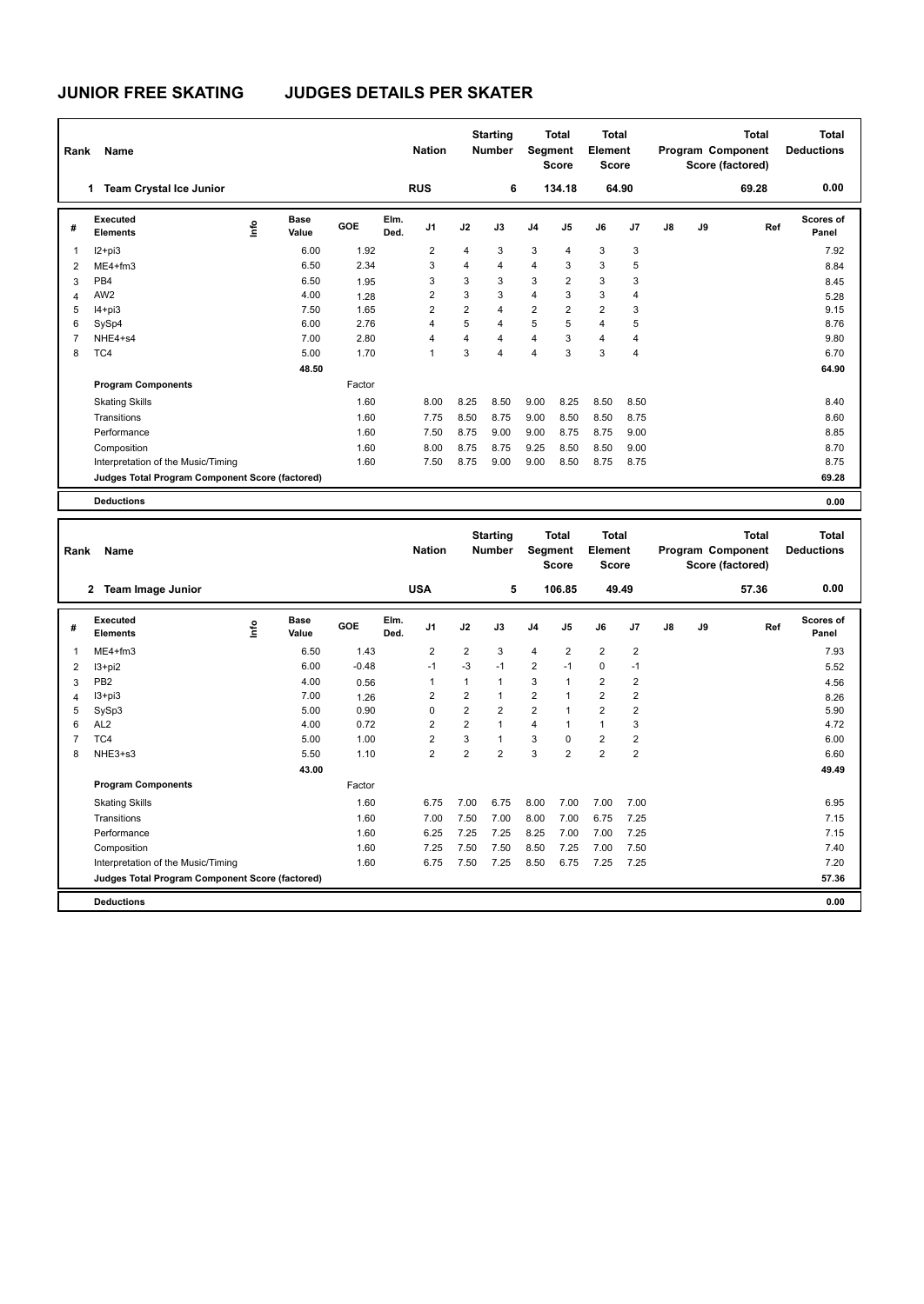# **JUNIOR FREE SKATING JUDGES DETAILS PER SKATER**

| Rank           | Name                                            |                              | <b>Nation</b> |              | <b>Starting</b><br><b>Number</b> |                | <b>Total</b><br>Segment<br><b>Score</b> | Total<br>Element<br><b>Score</b> |                | <b>Total</b><br>Program Component<br>Score (factored) |                |    | Total<br><b>Deductions</b> |       |                    |
|----------------|-------------------------------------------------|------------------------------|---------------|--------------|----------------------------------|----------------|-----------------------------------------|----------------------------------|----------------|-------------------------------------------------------|----------------|----|----------------------------|-------|--------------------|
|                | <b>Team Crystal Ice Junior</b><br>1.            |                              |               |              | <b>RUS</b>                       |                | 6                                       |                                  | 134.18         |                                                       | 64.90          |    |                            | 69.28 | 0.00               |
| #              | Executed<br><b>Elements</b>                     | <b>Base</b><br>lnfo<br>Value | GOE           | Elm.<br>Ded. | J <sub>1</sub>                   | J2             | J3                                      | J <sub>4</sub>                   | J5             | J6                                                    | J7             | J8 | J9                         | Ref   | Scores of<br>Panel |
| 1              | $12+pi3$                                        |                              | 6.00<br>1.92  |              | $\overline{2}$                   | 4              | 3                                       | 3                                | 4              | 3                                                     | 3              |    |                            |       | 7.92               |
| $\overline{2}$ | $ME4 + fm3$                                     |                              | 2.34<br>6.50  |              | 3                                | 4              | 4                                       | $\overline{4}$                   | 3              | 3                                                     | 5              |    |                            |       | 8.84               |
| 3              | PB <sub>4</sub>                                 |                              | 6.50<br>1.95  |              | 3                                | 3              | 3                                       | 3                                | $\overline{2}$ | 3                                                     | 3              |    |                            |       | 8.45               |
| $\overline{4}$ | AW <sub>2</sub>                                 |                              | 4.00<br>1.28  |              | $\overline{2}$                   | 3              | 3                                       | $\overline{4}$                   | 3              | 3                                                     | $\overline{4}$ |    |                            |       | 5.28               |
| 5              | $I4 + pi3$                                      |                              | 1.65<br>7.50  |              | $\overline{2}$                   | $\overline{2}$ | $\overline{4}$                          | $\overline{2}$                   | $\overline{2}$ | $\overline{2}$                                        | 3              |    |                            |       | 9.15               |
| 6              | SySp4                                           |                              | 2.76<br>6.00  |              | 4                                | 5              | 4                                       | 5                                | 5              | $\overline{4}$                                        | 5              |    |                            |       | 8.76               |
| 7              | NHE4+s4                                         |                              | 2.80<br>7.00  |              | 4                                | 4              | 4                                       | $\overline{4}$                   | 3              | 4                                                     | 4              |    |                            |       | 9.80               |
| 8              | TC4                                             |                              | 1.70<br>5.00  |              | 1                                | 3              | $\overline{4}$                          | $\overline{4}$                   | 3              | 3                                                     | $\overline{4}$ |    |                            |       | 6.70               |
|                |                                                 |                              | 48.50         |              |                                  |                |                                         |                                  |                |                                                       |                |    |                            |       | 64.90              |
|                | <b>Program Components</b>                       |                              | Factor        |              |                                  |                |                                         |                                  |                |                                                       |                |    |                            |       |                    |
|                | <b>Skating Skills</b>                           |                              | 1.60          |              | 8.00                             | 8.25           | 8.50                                    | 9.00                             | 8.25           | 8.50                                                  | 8.50           |    |                            |       | 8.40               |
|                | Transitions                                     |                              | 1.60          |              | 7.75                             | 8.50           | 8.75                                    | 9.00                             | 8.50           | 8.50                                                  | 8.75           |    |                            |       | 8.60               |
|                | Performance                                     |                              | 1.60          |              | 7.50                             | 8.75           | 9.00                                    | 9.00                             | 8.75           | 8.75                                                  | 9.00           |    |                            |       | 8.85               |
|                | Composition                                     |                              | 1.60          |              | 8.00                             | 8.75           | 8.75                                    | 9.25                             | 8.50           | 8.50                                                  | 9.00           |    |                            |       | 8.70               |
|                | Interpretation of the Music/Timing              |                              | 1.60          |              | 7.50                             | 8.75           | 9.00                                    | 9.00                             | 8.50           | 8.75                                                  | 8.75           |    |                            |       | 8.75               |
|                | Judges Total Program Component Score (factored) |                              |               |              |                                  |                |                                         |                                  |                |                                                       |                |    |                            |       | 69.28              |
|                | <b>Deductions</b>                               |                              |               |              |                                  |                |                                         |                                  |                |                                                       |                |    |                            |       | 0.00               |

|   | Name<br>Rank                                    |      |                      |         |              | <b>Nation</b>  | <b>Starting</b><br><b>Number</b> |                |                | <b>Total</b><br>Segment<br><b>Score</b> |                | <b>Total</b><br>Element<br><b>Score</b> |    |    | <b>Total</b><br>Program Component<br>Score (factored) | <b>Total</b><br><b>Deductions</b> |
|---|-------------------------------------------------|------|----------------------|---------|--------------|----------------|----------------------------------|----------------|----------------|-----------------------------------------|----------------|-----------------------------------------|----|----|-------------------------------------------------------|-----------------------------------|
|   | <b>Team Image Junior</b><br>$\mathbf{2}$        |      |                      |         |              | <b>USA</b>     |                                  | 5              |                | 106.85                                  | 49.49          |                                         |    |    | 57.36                                                 | 0.00                              |
| # | Executed<br><b>Elements</b>                     | ١nf٥ | <b>Base</b><br>Value | GOE     | Elm.<br>Ded. | J <sub>1</sub> | J2                               | J3             | J <sub>4</sub> | J5                                      | J6             | J7                                      | J8 | J9 | Ref                                                   | <b>Scores of</b><br>Panel         |
| 1 | $ME4 + fm3$                                     |      | 6.50                 | 1.43    |              | $\overline{2}$ | $\overline{2}$                   | 3              | $\overline{4}$ | $\overline{2}$                          | $\overline{2}$ | $\overline{2}$                          |    |    |                                                       | 7.93                              |
| 2 | I3+pi2                                          |      | 6.00                 | $-0.48$ |              | $-1$           | $-3$                             | $-1$           | $\overline{2}$ | $-1$                                    | $\mathbf 0$    | $-1$                                    |    |    |                                                       | 5.52                              |
| 3 | PB <sub>2</sub>                                 |      | 4.00                 | 0.56    |              | $\overline{1}$ | 1                                | 1              | 3              | $\mathbf{1}$                            | $\overline{2}$ | $\overline{2}$                          |    |    |                                                       | 4.56                              |
| 4 | $13 + pi3$                                      |      | 7.00                 | 1.26    |              | 2              | $\overline{2}$                   | 1              | 2              | $\mathbf{1}$                            | $\overline{2}$ | $\overline{2}$                          |    |    |                                                       | 8.26                              |
| 5 | SySp3                                           |      | 5.00                 | 0.90    |              | $\mathbf 0$    | $\overline{2}$                   | $\overline{2}$ | $\overline{2}$ |                                         | $\overline{2}$ | $\overline{2}$                          |    |    |                                                       | 5.90                              |
| 6 | AL <sub>2</sub>                                 |      | 4.00                 | 0.72    |              | $\overline{2}$ | $\overline{2}$                   | 1              | 4              | 1                                       | $\mathbf{1}$   | 3                                       |    |    |                                                       | 4.72                              |
| 7 | TC4                                             |      | 5.00                 | 1.00    |              | $\overline{2}$ | 3                                | 1              | 3              | $\Omega$                                | $\overline{2}$ | 2                                       |    |    |                                                       | 6.00                              |
| 8 | NHE3+s3                                         |      | 5.50                 | 1.10    |              | $\overline{2}$ | $\overline{2}$                   | $\overline{2}$ | 3              | $\overline{2}$                          | $\overline{2}$ | $\overline{2}$                          |    |    |                                                       | 6.60                              |
|   |                                                 |      | 43.00                |         |              |                |                                  |                |                |                                         |                |                                         |    |    |                                                       | 49.49                             |
|   | <b>Program Components</b>                       |      |                      | Factor  |              |                |                                  |                |                |                                         |                |                                         |    |    |                                                       |                                   |
|   | <b>Skating Skills</b>                           |      |                      | 1.60    |              | 6.75           | 7.00                             | 6.75           | 8.00           | 7.00                                    | 7.00           | 7.00                                    |    |    |                                                       | 6.95                              |
|   | Transitions                                     |      |                      | 1.60    |              | 7.00           | 7.50                             | 7.00           | 8.00           | 7.00                                    | 6.75           | 7.25                                    |    |    |                                                       | 7.15                              |
|   | Performance                                     |      |                      | 1.60    |              | 6.25           | 7.25                             | 7.25           | 8.25           | 7.00                                    | 7.00           | 7.25                                    |    |    |                                                       | 7.15                              |
|   | Composition                                     |      |                      | 1.60    |              | 7.25           | 7.50                             | 7.50           | 8.50           | 7.25                                    | 7.00           | 7.50                                    |    |    |                                                       | 7.40                              |
|   | Interpretation of the Music/Timing              |      |                      | 1.60    |              | 6.75           | 7.50                             | 7.25           | 8.50           | 6.75                                    | 7.25           | 7.25                                    |    |    |                                                       | 7.20                              |
|   | Judges Total Program Component Score (factored) |      |                      |         |              |                |                                  |                |                |                                         |                |                                         |    |    |                                                       | 57.36                             |
|   | <b>Deductions</b>                               |      |                      |         |              |                |                                  |                |                |                                         |                |                                         |    |    |                                                       | 0.00                              |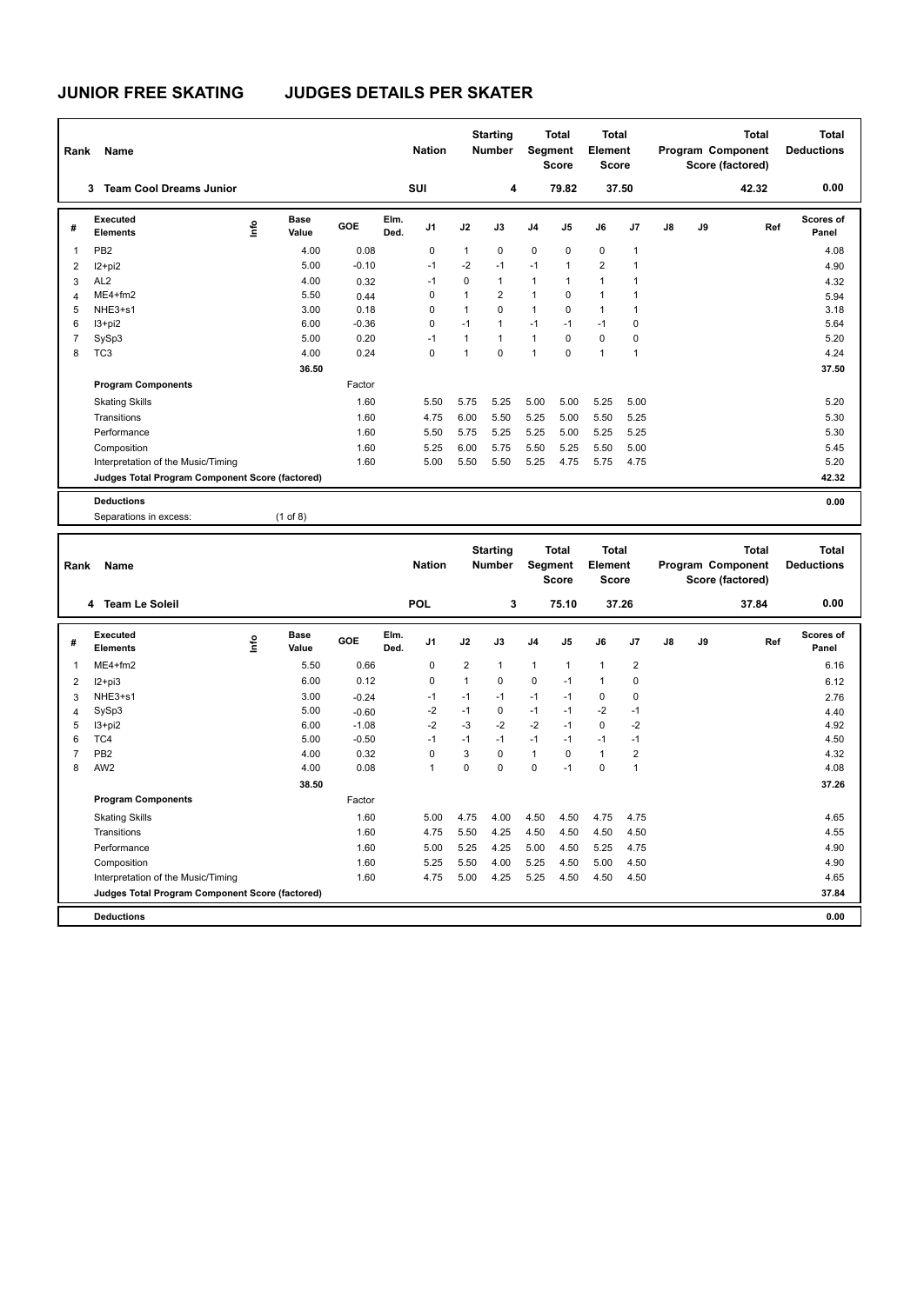# **JUNIOR FREE SKATING JUDGES DETAILS PER SKATER**

| Rank           | <b>Name</b>                                     |                            |         |              | <b>Nation</b>  |              | <b>Starting</b><br><b>Number</b> |                | <b>Total</b><br>Segment<br><b>Score</b> | <b>Total</b><br>Element<br><b>Score</b> |              |    |    | <b>Total</b><br>Program Component<br>Score (factored) | Total<br><b>Deductions</b> |
|----------------|-------------------------------------------------|----------------------------|---------|--------------|----------------|--------------|----------------------------------|----------------|-----------------------------------------|-----------------------------------------|--------------|----|----|-------------------------------------------------------|----------------------------|
|                | <b>Team Cool Dreams Junior</b><br>3             |                            |         |              | SUI            |              | 4                                |                | 79.82                                   |                                         | 37.50        |    |    | 42.32                                                 | 0.00                       |
| #              | Executed<br><b>Elements</b>                     | <b>Base</b><br>١m<br>Value | GOE     | Elm.<br>Ded. | J <sub>1</sub> | J2           | J3                               | J <sub>4</sub> | J <sub>5</sub>                          | J6                                      | J7           | J8 | J9 | Ref                                                   | Scores of<br>Panel         |
| $\overline{1}$ | PB <sub>2</sub>                                 | 4.00                       | 0.08    |              | 0              | $\mathbf{1}$ | 0                                | $\mathbf 0$    | $\mathbf 0$                             | 0                                       | $\mathbf{1}$ |    |    |                                                       | 4.08                       |
| 2              | $12+pi2$                                        | 5.00                       | $-0.10$ |              | $-1$           | $-2$         | $-1$                             | $-1$           | $\mathbf{1}$                            | $\overline{2}$                          | $\mathbf 1$  |    |    |                                                       | 4.90                       |
| 3              | AL <sub>2</sub>                                 | 4.00                       | 0.32    |              | $-1$           | 0            | $\mathbf{1}$                     | $\mathbf{1}$   | 1                                       | 1                                       |              |    |    |                                                       | 4.32                       |
| $\overline{4}$ | $ME4 + fm2$                                     | 5.50                       | 0.44    |              | $\Omega$       | $\mathbf{1}$ | $\overline{2}$                   | $\mathbf{1}$   | $\Omega$                                | 1                                       |              |    |    |                                                       | 5.94                       |
| 5              | NHE3+s1                                         | 3.00                       | 0.18    |              | $\Omega$       | $\mathbf{1}$ | $\Omega$                         | $\mathbf{1}$   | $\Omega$                                | 1                                       |              |    |    |                                                       | 3.18                       |
| 6              | $13 + pi2$                                      | 6.00                       | $-0.36$ |              | 0              | $-1$         | $\mathbf{1}$                     | $-1$           | $-1$                                    | $-1$                                    | 0            |    |    |                                                       | 5.64                       |
| $\overline{7}$ | SySp3                                           | 5.00                       | 0.20    |              | $-1$           | $\mathbf{1}$ | $\overline{1}$                   | $\mathbf{1}$   | $\Omega$                                | $\Omega$                                | 0            |    |    |                                                       | 5.20                       |
| 8              | TC <sub>3</sub>                                 | 4.00                       | 0.24    |              | $\Omega$       | 1            | $\Omega$                         | $\overline{1}$ | $\Omega$                                | $\overline{1}$                          | $\mathbf{1}$ |    |    |                                                       | 4.24                       |
|                |                                                 | 36.50                      |         |              |                |              |                                  |                |                                         |                                         |              |    |    |                                                       | 37.50                      |
|                | <b>Program Components</b>                       |                            | Factor  |              |                |              |                                  |                |                                         |                                         |              |    |    |                                                       |                            |
|                | <b>Skating Skills</b>                           |                            | 1.60    |              | 5.50           | 5.75         | 5.25                             | 5.00           | 5.00                                    | 5.25                                    | 5.00         |    |    |                                                       | 5.20                       |
|                | Transitions                                     |                            | 1.60    |              | 4.75           | 6.00         | 5.50                             | 5.25           | 5.00                                    | 5.50                                    | 5.25         |    |    |                                                       | 5.30                       |
|                | Performance                                     |                            | 1.60    |              | 5.50           | 5.75         | 5.25                             | 5.25           | 5.00                                    | 5.25                                    | 5.25         |    |    |                                                       | 5.30                       |
|                | Composition                                     |                            | 1.60    |              | 5.25           | 6.00         | 5.75                             | 5.50           | 5.25                                    | 5.50                                    | 5.00         |    |    |                                                       | 5.45                       |
|                | Interpretation of the Music/Timing              |                            | 1.60    |              | 5.00           | 5.50         | 5.50                             | 5.25           | 4.75                                    | 5.75                                    | 4.75         |    |    |                                                       | 5.20                       |
|                | Judges Total Program Component Score (factored) |                            |         |              |                |              |                                  |                |                                         |                                         |              |    |    |                                                       | 42.32                      |
|                | <b>Deductions</b>                               |                            |         |              |                |              |                                  |                |                                         |                                         |              |    |    |                                                       | 0.00                       |
|                | Separations in excess:                          | $(1$ of 8)                 |         |              |                |              |                                  |                |                                         |                                         |              |    |    |                                                       |                            |

| Rank | Name                                            |      |                      |         |              | <b>Nation</b>  |                | <b>Starting</b><br><b>Number</b> | Segment        | <b>Total</b><br><b>Score</b> | <b>Total</b><br>Element<br><b>Score</b> |                |    |    | <b>Total</b><br>Program Component<br>Score (factored) | <b>Total</b><br><b>Deductions</b> |
|------|-------------------------------------------------|------|----------------------|---------|--------------|----------------|----------------|----------------------------------|----------------|------------------------------|-----------------------------------------|----------------|----|----|-------------------------------------------------------|-----------------------------------|
|      | 4 Team Le Soleil                                |      |                      |         |              | <b>POL</b>     |                | 3                                |                | 75.10                        | 37.26                                   |                |    |    | 37.84                                                 | 0.00                              |
| #    | Executed<br><b>Elements</b>                     | lnfo | <b>Base</b><br>Value | GOE     | Elm.<br>Ded. | J <sub>1</sub> | J2             | J3                               | J <sub>4</sub> | J <sub>5</sub>               | J6                                      | J <sub>7</sub> | J8 | J9 | Ref                                                   | <b>Scores of</b><br>Panel         |
| 1    | $ME4 + fm2$                                     |      | 5.50                 | 0.66    |              | 0              | $\overline{2}$ | $\mathbf{1}$                     | $\overline{1}$ | $\mathbf{1}$                 | $\mathbf{1}$                            | $\overline{2}$ |    |    |                                                       | 6.16                              |
| 2    | $12+pi3$                                        |      | 6.00                 | 0.12    |              | 0              | $\overline{1}$ | 0                                | $\mathbf 0$    | $-1$                         | $\mathbf{1}$                            | 0              |    |    |                                                       | 6.12                              |
| 3    | NHE3+s1                                         |      | 3.00                 | $-0.24$ |              | -1             | $-1$           | $-1$                             | $-1$           | $-1$                         | 0                                       | 0              |    |    |                                                       | 2.76                              |
| 4    | SySp3                                           |      | 5.00                 | $-0.60$ |              | $-2$           | $-1$           | 0                                | $-1$           | $-1$                         | $-2$                                    | $-1$           |    |    |                                                       | 4.40                              |
| 5    | I3+pi2                                          |      | 6.00                 | $-1.08$ |              | $-2$           | $-3$           | $-2$                             | $-2$           | $-1$                         | $\mathbf 0$                             | $-2$           |    |    |                                                       | 4.92                              |
| 6    | TC4                                             |      | 5.00                 | $-0.50$ |              | $-1$           | $-1$           | $-1$                             | $-1$           | $-1$                         | $-1$                                    | $-1$           |    |    |                                                       | 4.50                              |
| 7    | PB <sub>2</sub>                                 |      | 4.00                 | 0.32    |              | $\Omega$       | 3              | 0                                | $\overline{1}$ | $\Omega$                     | $\mathbf{1}$                            | $\overline{2}$ |    |    |                                                       | 4.32                              |
| 8    | AW <sub>2</sub>                                 |      | 4.00                 | 0.08    |              | $\mathbf{1}$   | $\Omega$       | $\Omega$                         | 0              | $-1$                         | 0                                       | $\overline{1}$ |    |    |                                                       | 4.08                              |
|      |                                                 |      | 38.50                |         |              |                |                |                                  |                |                              |                                         |                |    |    |                                                       | 37.26                             |
|      | <b>Program Components</b>                       |      |                      | Factor  |              |                |                |                                  |                |                              |                                         |                |    |    |                                                       |                                   |
|      | <b>Skating Skills</b>                           |      |                      | 1.60    |              | 5.00           | 4.75           | 4.00                             | 4.50           | 4.50                         | 4.75                                    | 4.75           |    |    |                                                       | 4.65                              |
|      | Transitions                                     |      |                      | 1.60    |              | 4.75           | 5.50           | 4.25                             | 4.50           | 4.50                         | 4.50                                    | 4.50           |    |    |                                                       | 4.55                              |
|      | Performance                                     |      |                      | 1.60    |              | 5.00           | 5.25           | 4.25                             | 5.00           | 4.50                         | 5.25                                    | 4.75           |    |    |                                                       | 4.90                              |
|      | Composition                                     |      |                      | 1.60    |              | 5.25           | 5.50           | 4.00                             | 5.25           | 4.50                         | 5.00                                    | 4.50           |    |    |                                                       | 4.90                              |
|      | Interpretation of the Music/Timing              |      |                      | 1.60    |              | 4.75           | 5.00           | 4.25                             | 5.25           | 4.50                         | 4.50                                    | 4.50           |    |    |                                                       | 4.65                              |
|      | Judges Total Program Component Score (factored) |      |                      |         |              |                |                |                                  |                |                              |                                         |                |    |    |                                                       | 37.84                             |
|      | <b>Deductions</b>                               |      |                      |         |              |                |                |                                  |                |                              |                                         |                |    |    |                                                       | 0.00                              |